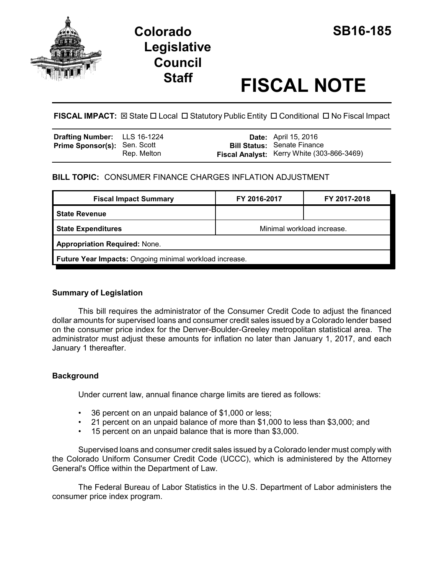

# **Colorado SB16-185 Legislative Council**

# **Staff FISCAL NOTE**

**FISCAL IMPACT:**  $\boxtimes$  **State □ Local □ Statutory Public Entity □ Conditional □ No Fiscal Impact** 

| <b>Drafting Number:</b> LLS 16-1224 |             | <b>Date:</b> April 15, 2016                                                      |
|-------------------------------------|-------------|----------------------------------------------------------------------------------|
| <b>Prime Sponsor(s): Sen. Scott</b> | Rep. Melton | <b>Bill Status: Senate Finance</b><br>Fiscal Analyst: Kerry White (303-866-3469) |

# **BILL TOPIC:** CONSUMER FINANCE CHARGES INFLATION ADJUSTMENT

| Minimal workload increase.                              |  |  |  |  |
|---------------------------------------------------------|--|--|--|--|
| <b>Appropriation Required: None.</b>                    |  |  |  |  |
| Future Year Impacts: Ongoing minimal workload increase. |  |  |  |  |
|                                                         |  |  |  |  |

## **Summary of Legislation**

This bill requires the administrator of the Consumer Credit Code to adjust the financed dollar amounts for supervised loans and consumer credit sales issued by a Colorado lender based on the consumer price index for the Denver-Boulder-Greeley metropolitan statistical area. The administrator must adjust these amounts for inflation no later than January 1, 2017, and each January 1 thereafter.

# **Background**

Under current law, annual finance charge limits are tiered as follows:

- 36 percent on an unpaid balance of \$1,000 or less;
- 21 percent on an unpaid balance of more than \$1,000 to less than \$3,000; and
- 15 percent on an unpaid balance that is more than \$3,000.

Supervised loans and consumer credit sales issued by a Colorado lender must comply with the Colorado Uniform Consumer Credit Code (UCCC), which is administered by the Attorney General's Office within the Department of Law.

The Federal Bureau of Labor Statistics in the U.S. Department of Labor administers the consumer price index program.